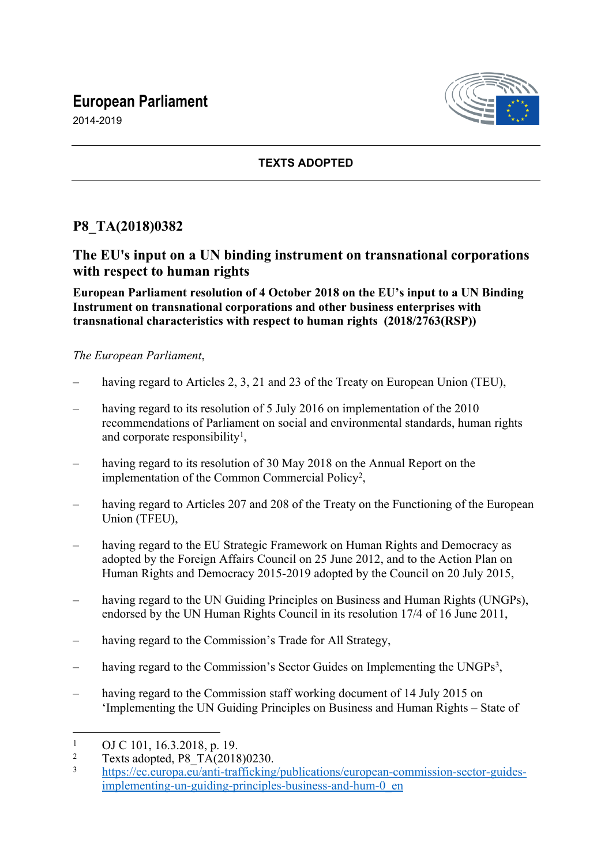# **European Parliament**





#### **TEXTS ADOPTED**

# **P8\_TA(2018)0382**

### **The EU's input on a UN binding instrument on transnational corporations with respect to human rights**

**European Parliament resolution of 4 October 2018 on the EU's input to a UN Binding Instrument on transnational corporations and other business enterprises with transnational characteristics with respect to human rights (2018/2763(RSP))**

#### *The European Parliament*,

- having regard to Articles 2, 3, 21 and 23 of the Treaty on European Union (TEU),
- having regard to its resolution of 5 July 2016 on implementation of the 2010 recommendations of Parliament on social and environmental standards, human rights and corporate responsibility<sup>1</sup>,
- having regard to its resolution of 30 May 2018 on the Annual Report on the implementation of the Common Commercial Policy<sup>2</sup>,
- having regard to Articles 207 and 208 of the Treaty on the Functioning of the European Union (TFEU),
- having regard to the EU Strategic Framework on Human Rights and Democracy as adopted by the Foreign Affairs Council on 25 June 2012, and to the Action Plan on Human Rights and Democracy 2015-2019 adopted by the Council on 20 July 2015,
- having regard to the UN Guiding Principles on Business and Human Rights (UNGPs), endorsed by the UN Human Rights Council in its resolution 17/4 of 16 June 2011,
- having regard to the Commission's Trade for All Strategy,
- having regard to the Commission's Sector Guides on Implementing the UNGPs<sup>3</sup>,
- having regard to the Commission staff working document of 14 July 2015 on 'Implementing the UN Guiding Principles on Business and Human Rights – State of

<sup>1</sup> OJ C 101, 16.3.2018, p. 19.

<sup>2</sup>  $T_{\text{ext}}$  Texts adopted, P8\_TA(2018)0230.

[https://ec.europa.eu/anti-trafficking/publications/european-commission-sector-guides](https://ec.europa.eu/anti-trafficking/publications/european-commission-sector-guides-implementing-un-guiding-principles-business-and-hum-0_en)[implementing-un-guiding-principles-business-and-hum-0\\_en](https://ec.europa.eu/anti-trafficking/publications/european-commission-sector-guides-implementing-un-guiding-principles-business-and-hum-0_en)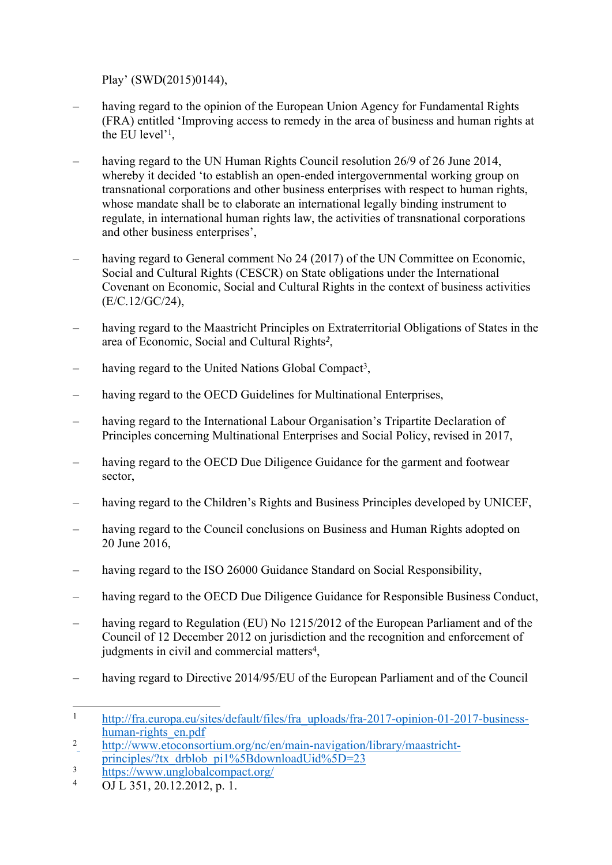Play' (SWD(2015)0144),

- having regard to the opinion of the European Union Agency for Fundamental Rights (FRA) entitled 'Improving access to remedy in the area of business and human rights at the EU level'<sup>1</sup> ,
- having regard to the UN Human Rights Council resolution 26/9 of 26 June 2014, whereby it decided 'to establish an open-ended intergovernmental working group on transnational corporations and other business enterprises with respect to human rights, whose mandate shall be to elaborate an international legally binding instrument to regulate, in international human rights law, the activities of transnational corporations and other business enterprises',
- having regard to General comment No 24 (2017) of the UN Committee on Economic, Social and Cultural Rights (CESCR) on State obligations under the International Covenant on Economic, Social and Cultural Rights in the context of business activities (E/C.12/GC/24),
- having regard to the Maastricht Principles on Extraterritorial Obligations of States in the area of Economic, Social and Cultural Rights*<sup>2</sup>* ,
- having regard to the United Nations Global Compact<sup>3</sup>,
- having regard to the OECD Guidelines for Multinational Enterprises,
- having regard to the International Labour Organisation's Tripartite Declaration of Principles concerning Multinational Enterprises and Social Policy, revised in 2017,
- having regard to the OECD Due Diligence Guidance for the garment and footwear sector,
- having regard to the Children's Rights and Business Principles developed by UNICEF,
- having regard to the Council conclusions on Business and Human Rights adopted on 20 June 2016,
- having regard to the ISO 26000 Guidance Standard on Social Responsibility,
- having regard to the OECD Due Diligence Guidance for Responsible Business Conduct,
- having regard to Regulation (EU) No 1215/2012 of the European Parliament and of the Council of 12 December 2012 on jurisdiction and the recognition and enforcement of judgments in civil and commercial matters<sup>4</sup>,
- having regard to Directive 2014/95/EU of the European Parliament and of the Council

<sup>&</sup>lt;sup>1</sup> http://fra.europa.eu/sites/default/files/fra uploads/fra-2017-opinion-01-2017-business[human-rights\\_en.pdf](http://fra.europa.eu/sites/default/files/fra_uploads/fra-2017-opinion-01-2017-business-human-rights_en.pdf)

<sup>2</sup> [http://www.etoconsortium.org/nc/en/main-navigation/library/maastricht](http://www.etoconsortium.org/nc/en/main-navigation/library/maastricht-principles/?tx_drblob_pi1%5BdownloadUid%5D=23)[principles/?tx\\_drblob\\_pi1%5BdownloadUid%5D=23](http://www.etoconsortium.org/nc/en/main-navigation/library/maastricht-principles/?tx_drblob_pi1%5BdownloadUid%5D=23)

 $\frac{\text{https://www.unglobalcompact.org}}{ \text{OLL } 251, 20, 12, 2012, n.1}$ 

OJ L 351, 20.12.2012, p. 1.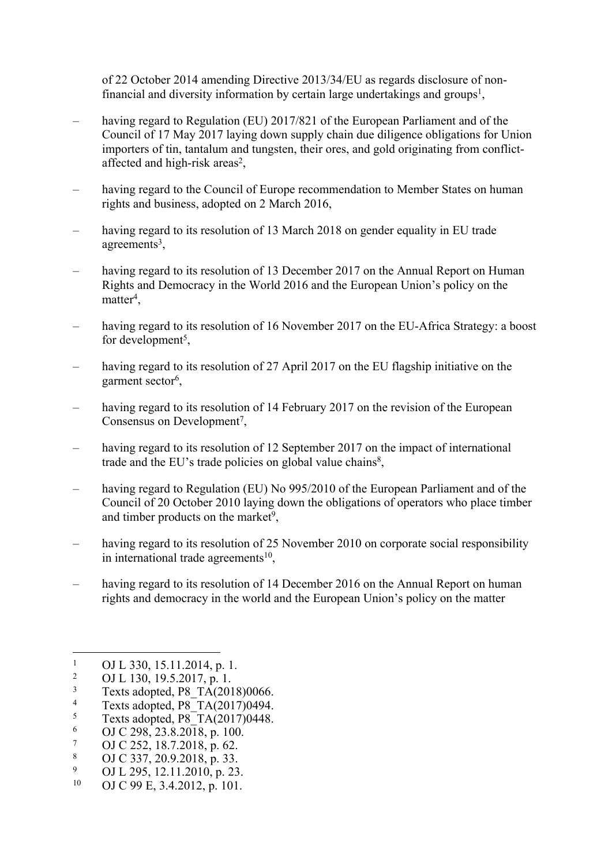of 22 October 2014 amending Directive 2013/34/EU as regards disclosure of nonfinancial and diversity information by certain large undertakings and groups<sup>1</sup>,

- having regard to Regulation (EU) 2017/821 of the European Parliament and of the Council of 17 May 2017 laying down supply chain due diligence obligations for Union importers of tin, tantalum and tungsten, their ores, and gold originating from conflictaffected and high-risk areas<sup>2</sup>,
- having regard to the Council of Europe recommendation to Member States on human rights and business, adopted on 2 March 2016,
- having regard to its resolution of 13 March 2018 on gender equality in EU trade agreements<sup>3</sup>,
- having regard to its resolution of 13 December 2017 on the Annual Report on Human Rights and Democracy in the World 2016 and the European Union's policy on the  $matter<sup>4</sup>$ ,
- having regard to its resolution of 16 November 2017 on the EU-Africa Strategy: a boost for development<sup>5</sup>,
- having regard to its resolution of 27 April 2017 on the EU flagship initiative on the garment sector<sup>6</sup>,
- having regard to its resolution of 14 February 2017 on the revision of the European Consensus on Development<sup>7</sup>,
- having regard to its resolution of 12 September 2017 on the impact of international trade and the EU's trade policies on global value chains<sup>8</sup>,
- having regard to Regulation (EU) No 995/2010 of the European Parliament and of the Council of 20 October 2010 laying down the obligations of operators who place timber and timber products on the market<sup>9</sup>,
- having regard to its resolution of 25 November 2010 on corporate social responsibility in international trade agreements<sup>10</sup>,
- having regard to its resolution of 14 December 2016 on the Annual Report on human rights and democracy in the world and the European Union's policy on the matter

- 9 <sup>9</sup> OJ L 295, 12.11.2010, p. 23.
- OJ C 99 E, 3.4.2012, p. 101.

<sup>1</sup> OJ L 330, 15.11.2014, p. 1.

 $\overline{2}$ OJ L 130, 19.5.2017, p. 1.

<sup>3</sup> Texts adopted, P8\_TA(2018)0066.

<sup>4</sup> Texts adopted,  $P8$ <sup>T</sup>A $(2017)0494$ .

<sup>5</sup> Texts adopted, P8\_TA(2017)0448.

<sup>6</sup> OJ C 298, 23.8.2018, p. 100.

<sup>7</sup> OJ C 252, 18.7.2018, p. 62.

<sup>8</sup> OJ C 337, 20.9.2018, p. 33.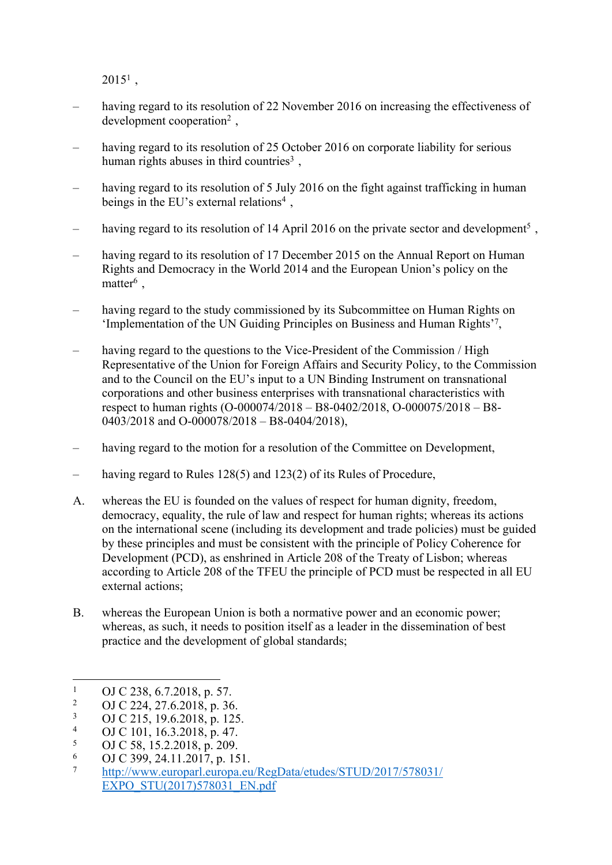$2015^1$ ,

- having regard to its resolution of 22 November 2016 on increasing the effectiveness of development cooperation<sup>2</sup> ,
- having regard to its resolution of 25 October 2016 on corporate liability for serious human rights abuses in third countries<sup>3</sup>,
- having regard to its resolution of 5 July 2016 on the fight against trafficking in human beings in the EU's external relations<sup>4</sup>,
- having regard to its resolution of 14 April 2016 on the private sector and development<sup>5</sup>,
- having regard to its resolution of 17 December 2015 on the Annual Report on Human Rights and Democracy in the World 2014 and the European Union's policy on the matter<sup>6</sup>,
- having regard to the study commissioned by its Subcommittee on Human Rights on 'Implementation of the UN Guiding Principles on Business and Human Rights'<sup>7</sup> ,
- having regard to the questions to the Vice-President of the Commission / High Representative of the Union for Foreign Affairs and Security Policy, to the Commission and to the Council on the EU's input to a UN Binding Instrument on transnational corporations and other business enterprises with transnational characteristics with respect to human rights (O-000074/2018 – B8-0402/2018, O-000075/2018 – B8- 0403/2018 and O-000078/2018 – B8-0404/2018),
- having regard to the motion for a resolution of the Committee on Development,
- having regard to Rules 128(5) and 123(2) of its Rules of Procedure,
- A. whereas the EU is founded on the values of respect for human dignity, freedom, democracy, equality, the rule of law and respect for human rights; whereas its actions on the international scene (including its development and trade policies) must be guided by these principles and must be consistent with the principle of Policy Coherence for Development (PCD), as enshrined in Article 208 of the Treaty of Lisbon; whereas according to Article 208 of the TFEU the principle of PCD must be respected in all EU external actions;
- B. whereas the European Union is both a normative power and an economic power; whereas, as such, it needs to position itself as a leader in the dissemination of best practice and the development of global standards;

<sup>1</sup> OJ C 238, 6.7.2018, p. 57.

<sup>2</sup> OJ C 224, 27.6.2018, p. 36.

<sup>3</sup> OJ C 215, 19.6.2018, p. 125.

<sup>4</sup> OJ C 101, 16.3.2018, p. 47.

<sup>5</sup> OJ C 58, 15.2.2018, p. 209.

<sup>6</sup> 6 OJ C 399, 24.11.2017, p. 151.

<sup>7</sup> [http://www.europarl.europa.eu/RegData/etudes/STUD/2017/578031/](http://www.europarl.europa.eu/RegData/etudes/STUD/2017/578031/EXPO_STU(2017)578031_EN.pdf) [EXPO\\_STU\(2017\)578031\\_EN.pdf](http://www.europarl.europa.eu/RegData/etudes/STUD/2017/578031/EXPO_STU(2017)578031_EN.pdf)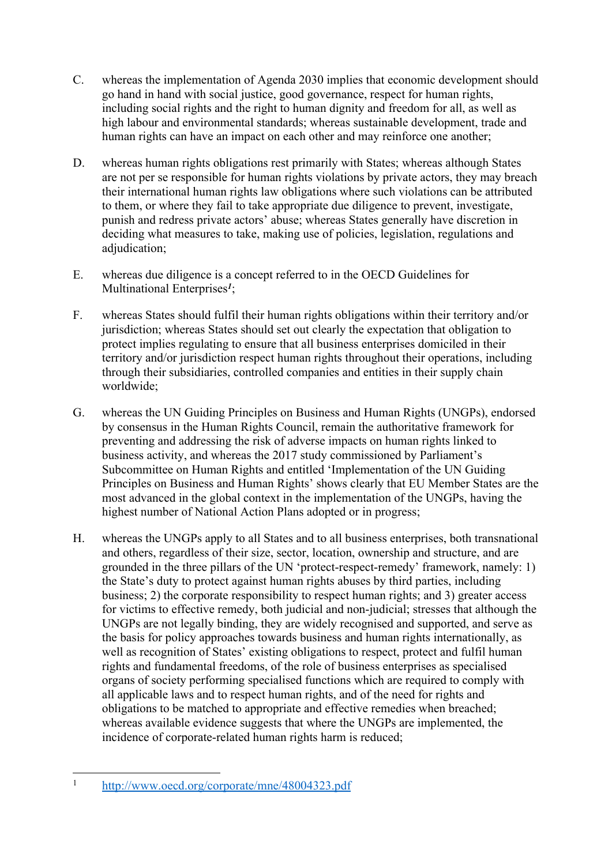- C. whereas the implementation of Agenda 2030 implies that economic development should go hand in hand with social justice, good governance, respect for human rights, including social rights and the right to human dignity and freedom for all, as well as high labour and environmental standards; whereas sustainable development, trade and human rights can have an impact on each other and may reinforce one another;
- D. whereas human rights obligations rest primarily with States; whereas although States are not per se responsible for human rights violations by private actors, they may breach their international human rights law obligations where such violations can be attributed to them, or where they fail to take appropriate due diligence to prevent, investigate, punish and redress private actors' abuse; whereas States generally have discretion in deciding what measures to take, making use of policies, legislation, regulations and adjudication;
- E. whereas due diligence is a concept referred to in the OECD Guidelines for Multinational Enterprises*<sup>1</sup>* ;
- F. whereas States should fulfil their human rights obligations within their territory and/or jurisdiction; whereas States should set out clearly the expectation that obligation to protect implies regulating to ensure that all business enterprises domiciled in their territory and/or jurisdiction respect human rights throughout their operations, including through their subsidiaries, controlled companies and entities in their supply chain worldwide;
- G. whereas the UN Guiding Principles on Business and Human Rights (UNGPs), endorsed by consensus in the Human Rights Council, remain the authoritative framework for preventing and addressing the risk of adverse impacts on human rights linked to business activity, and whereas the 2017 study commissioned by Parliament's Subcommittee on Human Rights and entitled 'Implementation of the UN Guiding Principles on Business and Human Rights' shows clearly that EU Member States are the most advanced in the global context in the implementation of the UNGPs, having the highest number of National Action Plans adopted or in progress;
- H. whereas the UNGPs apply to all States and to all business enterprises, both transnational and others, regardless of their size, sector, location, ownership and structure, and are grounded in the three pillars of the UN 'protect-respect-remedy' framework, namely: 1) the State's duty to protect against human rights abuses by third parties, including business; 2) the corporate responsibility to respect human rights; and 3) greater access for victims to effective remedy, both judicial and non-judicial; stresses that although the UNGPs are not legally binding, they are widely recognised and supported, and serve as the basis for policy approaches towards business and human rights internationally, as well as recognition of States' existing obligations to respect, protect and fulfil human rights and fundamental freedoms, of the role of business enterprises as specialised organs of society performing specialised functions which are required to comply with all applicable laws and to respect human rights, and of the need for rights and obligations to be matched to appropriate and effective remedies when breached; whereas available evidence suggests that where the UNGPs are implemented, the incidence of corporate-related human rights harm is reduced;

<sup>1</sup> <http://www.oecd.org/corporate/mne/48004323.pdf>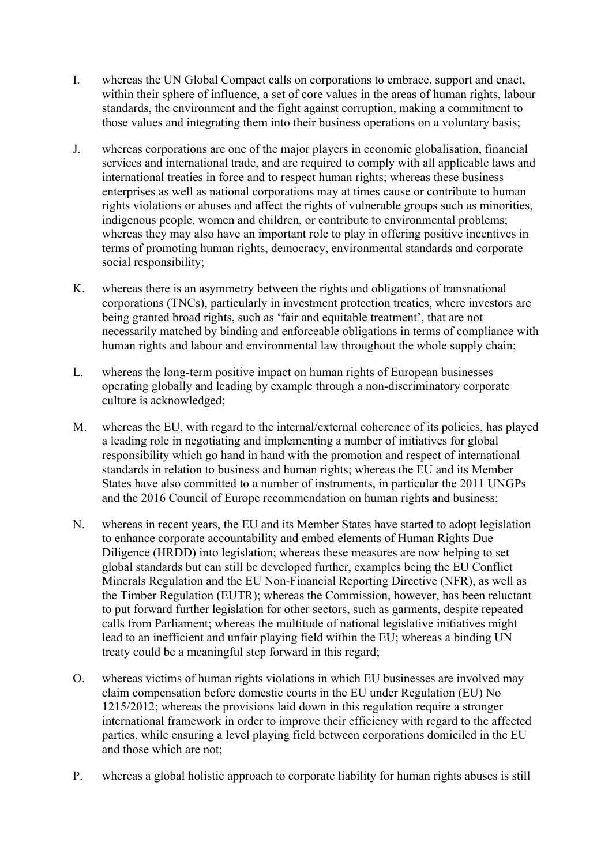- I. whereas the UN Global Compact calls on corporations to embrace, support and enact, within their sphere of influence, a set of core values in the areas of human rights, labour standards, the environment and the fight against corruption, making a commitment to those values and integrating them into their business operations on a voluntary basis;
- J. whereas corporations are one of the major players in economic globalisation, financial services and international trade, and are required to comply with all applicable laws and international treaties in force and to respect human rights; whereas these business enterprises as well as national corporations may at times cause or contribute to human rights violations or abuses and affect the rights of vulnerable groups such as minorities, indigenous people, women and children, or contribute to environmental problems; whereas they may also have an important role to play in offering positive incentives in terms of promoting human rights, democracy, environmental standards and corporate social responsibility;
- K. whereas there is an asymmetry between the rights and obligations of transnational corporations (TNCs), particularly in investment protection treaties, where investors are being granted broad rights, such as 'fair and equitable treatment', that are not necessarily matched by binding and enforceable obligations in terms of compliance with human rights and labour and environmental law throughout the whole supply chain;
- L. whereas the long-term positive impact on human rights of European businesses operating globally and leading by example through a non-discriminatory corporate culture is acknowledged;
- M. whereas the EU, with regard to the internal/external coherence of its policies, has played a leading role in negotiating and implementing a number of initiatives for global responsibility which go hand in hand with the promotion and respect of international standards in relation to business and human rights; whereas the EU and its Member States have also committed to a number of instruments, in particular the 2011 UNGPs and the 2016 Council of Europe recommendation on human rights and business;
- N. whereas in recent years, the EU and its Member States have started to adopt legislation to enhance corporate accountability and embed elements of Human Rights Due Diligence (HRDD) into legislation; whereas these measures are now helping to set global standards but can still be developed further, examples being the EU Conflict Minerals Regulation and the EU Non-Financial Reporting Directive (NFR), as well as the Timber Regulation (EUTR); whereas the Commission, however, has been reluctant to put forward further legislation for other sectors, such as garments, despite repeated calls from Parliament; whereas the multitude of national legislative initiatives might lead to an inefficient and unfair playing field within the EU; whereas a binding UN treaty could be a meaningful step forward in this regard;
- O. whereas victims of human rights violations in which EU businesses are involved may claim compensation before domestic courts in the EU under Regulation (EU) No 1215/2012; whereas the provisions laid down in this regulation require a stronger international framework in order to improve their efficiency with regard to the affected parties, while ensuring a level playing field between corporations domiciled in the EU and those which are not;
- P. whereas a global holistic approach to corporate liability for human rights abuses is still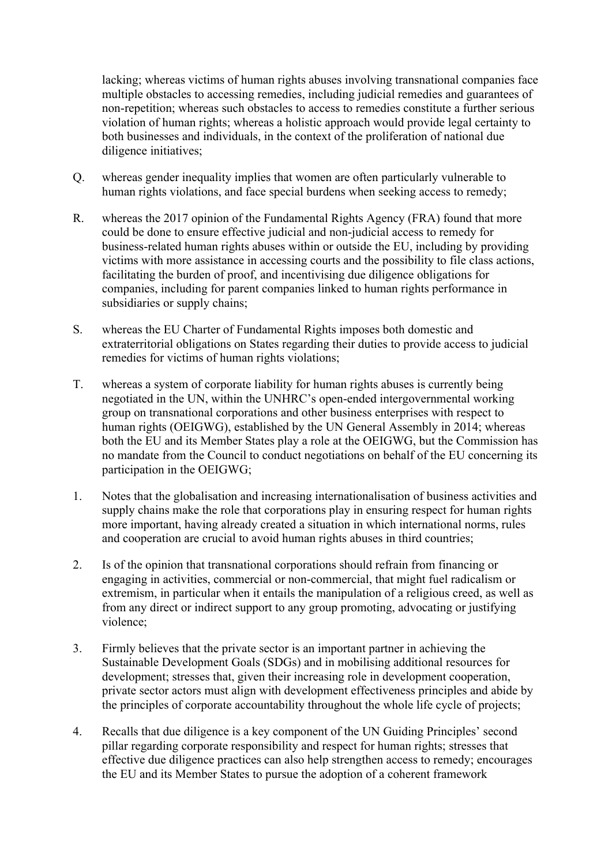lacking; whereas victims of human rights abuses involving transnational companies face multiple obstacles to accessing remedies, including judicial remedies and guarantees of non-repetition; whereas such obstacles to access to remedies constitute a further serious violation of human rights; whereas a holistic approach would provide legal certainty to both businesses and individuals, in the context of the proliferation of national due diligence initiatives;

- Q. whereas gender inequality implies that women are often particularly vulnerable to human rights violations, and face special burdens when seeking access to remedy;
- R. whereas the 2017 opinion of the Fundamental Rights Agency (FRA) found that more could be done to ensure effective judicial and non-judicial access to remedy for business-related human rights abuses within or outside the EU, including by providing victims with more assistance in accessing courts and the possibility to file class actions, facilitating the burden of proof, and incentivising due diligence obligations for companies, including for parent companies linked to human rights performance in subsidiaries or supply chains;
- S. whereas the EU Charter of Fundamental Rights imposes both domestic and extraterritorial obligations on States regarding their duties to provide access to judicial remedies for victims of human rights violations;
- T. whereas a system of corporate liability for human rights abuses is currently being negotiated in the UN, within the UNHRC's open-ended intergovernmental working group on transnational corporations and other business enterprises with respect to human rights (OEIGWG), established by the UN General Assembly in 2014; whereas both the EU and its Member States play a role at the OEIGWG, but the Commission has no mandate from the Council to conduct negotiations on behalf of the EU concerning its participation in the OEIGWG;
- 1. Notes that the globalisation and increasing internationalisation of business activities and supply chains make the role that corporations play in ensuring respect for human rights more important, having already created a situation in which international norms, rules and cooperation are crucial to avoid human rights abuses in third countries;
- 2. Is of the opinion that transnational corporations should refrain from financing or engaging in activities, commercial or non-commercial, that might fuel radicalism or extremism, in particular when it entails the manipulation of a religious creed, as well as from any direct or indirect support to any group promoting, advocating or justifying violence;
- 3. Firmly believes that the private sector is an important partner in achieving the Sustainable Development Goals (SDGs) and in mobilising additional resources for development; stresses that, given their increasing role in development cooperation, private sector actors must align with development effectiveness principles and abide by the principles of corporate accountability throughout the whole life cycle of projects;
- 4. Recalls that due diligence is a key component of the UN Guiding Principles' second pillar regarding corporate responsibility and respect for human rights; stresses that effective due diligence practices can also help strengthen access to remedy; encourages the EU and its Member States to pursue the adoption of a coherent framework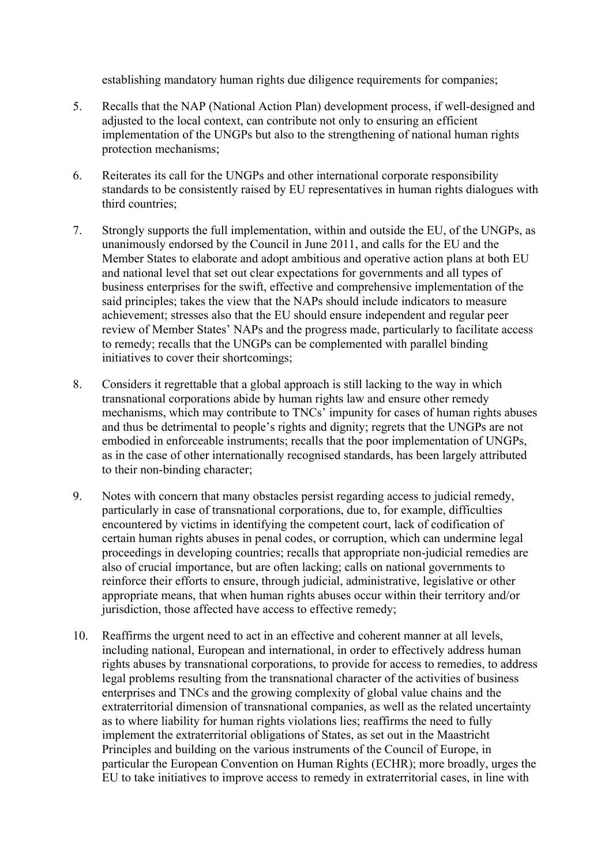establishing mandatory human rights due diligence requirements for companies;

- 5. Recalls that the NAP (National Action Plan) development process, if well-designed and adjusted to the local context, can contribute not only to ensuring an efficient implementation of the UNGPs but also to the strengthening of national human rights protection mechanisms;
- 6. Reiterates its call for the UNGPs and other international corporate responsibility standards to be consistently raised by EU representatives in human rights dialogues with third countries;
- 7. Strongly supports the full implementation, within and outside the EU, of the UNGPs, as unanimously endorsed by the Council in June 2011, and calls for the EU and the Member States to elaborate and adopt ambitious and operative action plans at both EU and national level that set out clear expectations for governments and all types of business enterprises for the swift, effective and comprehensive implementation of the said principles; takes the view that the NAPs should include indicators to measure achievement; stresses also that the EU should ensure independent and regular peer review of Member States' NAPs and the progress made, particularly to facilitate access to remedy; recalls that the UNGPs can be complemented with parallel binding initiatives to cover their shortcomings;
- 8. Considers it regrettable that a global approach is still lacking to the way in which transnational corporations abide by human rights law and ensure other remedy mechanisms, which may contribute to TNCs' impunity for cases of human rights abuses and thus be detrimental to people's rights and dignity; regrets that the UNGPs are not embodied in enforceable instruments; recalls that the poor implementation of UNGPs, as in the case of other internationally recognised standards, has been largely attributed to their non-binding character;
- 9. Notes with concern that many obstacles persist regarding access to judicial remedy, particularly in case of transnational corporations, due to, for example, difficulties encountered by victims in identifying the competent court, lack of codification of certain human rights abuses in penal codes, or corruption, which can undermine legal proceedings in developing countries; recalls that appropriate non-judicial remedies are also of crucial importance, but are often lacking; calls on national governments to reinforce their efforts to ensure, through judicial, administrative, legislative or other appropriate means, that when human rights abuses occur within their territory and/or jurisdiction, those affected have access to effective remedy;
- 10. Reaffirms the urgent need to act in an effective and coherent manner at all levels, including national, European and international, in order to effectively address human rights abuses by transnational corporations, to provide for access to remedies, to address legal problems resulting from the transnational character of the activities of business enterprises and TNCs and the growing complexity of global value chains and the extraterritorial dimension of transnational companies, as well as the related uncertainty as to where liability for human rights violations lies; reaffirms the need to fully implement the extraterritorial obligations of States, as set out in the Maastricht Principles and building on the various instruments of the Council of Europe, in particular the European Convention on Human Rights (ECHR); more broadly, urges the EU to take initiatives to improve access to remedy in extraterritorial cases, in line with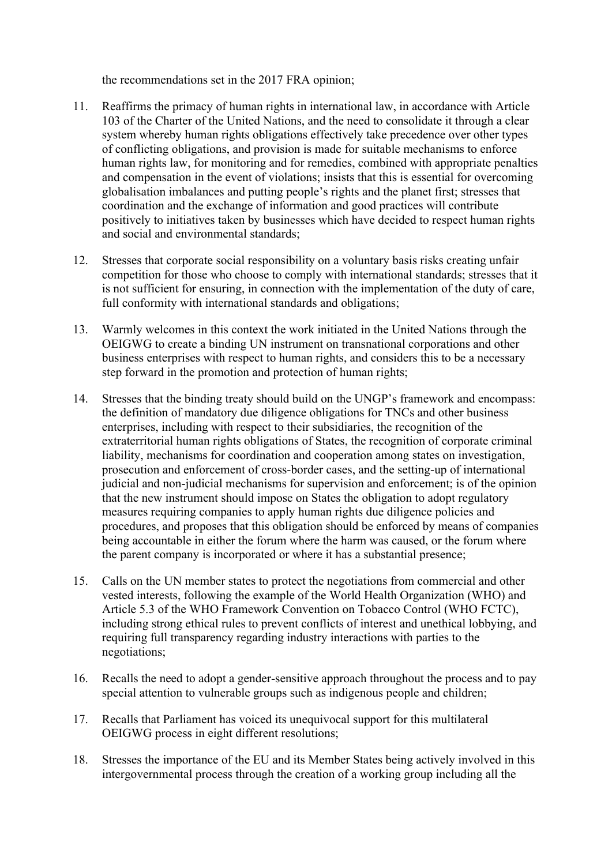the recommendations set in the 2017 FRA opinion;

- 11. Reaffirms the primacy of human rights in international law, in accordance with Article 103 of the Charter of the United Nations, and the need to consolidate it through a clear system whereby human rights obligations effectively take precedence over other types of conflicting obligations, and provision is made for suitable mechanisms to enforce human rights law, for monitoring and for remedies, combined with appropriate penalties and compensation in the event of violations; insists that this is essential for overcoming globalisation imbalances and putting people's rights and the planet first; stresses that coordination and the exchange of information and good practices will contribute positively to initiatives taken by businesses which have decided to respect human rights and social and environmental standards;
- 12. Stresses that corporate social responsibility on a voluntary basis risks creating unfair competition for those who choose to comply with international standards; stresses that it is not sufficient for ensuring, in connection with the implementation of the duty of care, full conformity with international standards and obligations;
- 13. Warmly welcomes in this context the work initiated in the United Nations through the OEIGWG to create a binding UN instrument on transnational corporations and other business enterprises with respect to human rights, and considers this to be a necessary step forward in the promotion and protection of human rights;
- 14. Stresses that the binding treaty should build on the UNGP's framework and encompass: the definition of mandatory due diligence obligations for TNCs and other business enterprises, including with respect to their subsidiaries, the recognition of the extraterritorial human rights obligations of States, the recognition of corporate criminal liability, mechanisms for coordination and cooperation among states on investigation, prosecution and enforcement of cross-border cases, and the setting-up of international judicial and non-judicial mechanisms for supervision and enforcement; is of the opinion that the new instrument should impose on States the obligation to adopt regulatory measures requiring companies to apply human rights due diligence policies and procedures, and proposes that this obligation should be enforced by means of companies being accountable in either the forum where the harm was caused, or the forum where the parent company is incorporated or where it has a substantial presence;
- 15. Calls on the UN member states to protect the negotiations from commercial and other vested interests, following the example of the World Health Organization (WHO) and Article 5.3 of the WHO Framework Convention on Tobacco Control (WHO FCTC), including strong ethical rules to prevent conflicts of interest and unethical lobbying, and requiring full transparency regarding industry interactions with parties to the negotiations;
- 16. Recalls the need to adopt a gender-sensitive approach throughout the process and to pay special attention to vulnerable groups such as indigenous people and children;
- 17. Recalls that Parliament has voiced its unequivocal support for this multilateral OEIGWG process in eight different resolutions;
- 18. Stresses the importance of the EU and its Member States being actively involved in this intergovernmental process through the creation of a working group including all the